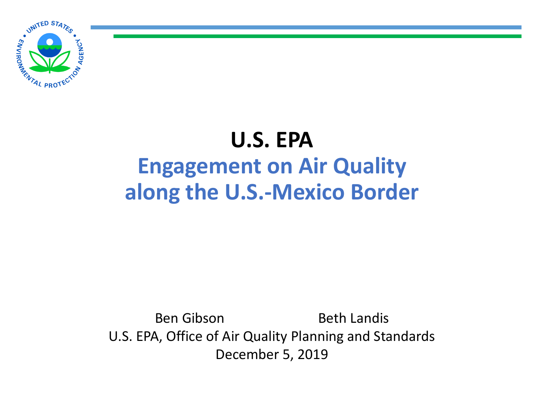

## **U.S. EPA Engagement on Air Quality along the U.S.-Mexico Border**

Ben Gibson Beth Landis U.S. EPA, Office of Air Quality Planning and Standards December 5, 2019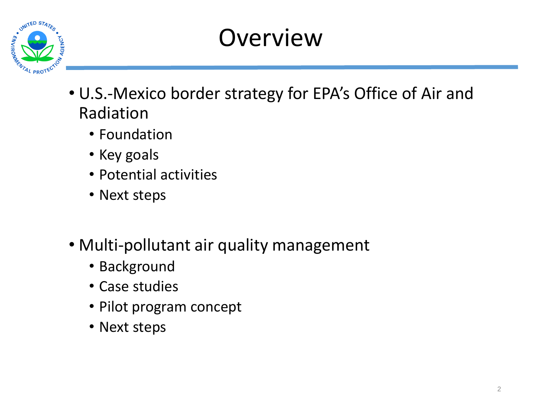

# **Overview**

- U.S.-Mexico border strategy for EPA's Office of Air and Radiation
	- Foundation
	- Key goals
	- Potential activities
	- Next steps
- Multi-pollutant air quality management
	- Background
	- Case studies
	- Pilot program concept
	- Next steps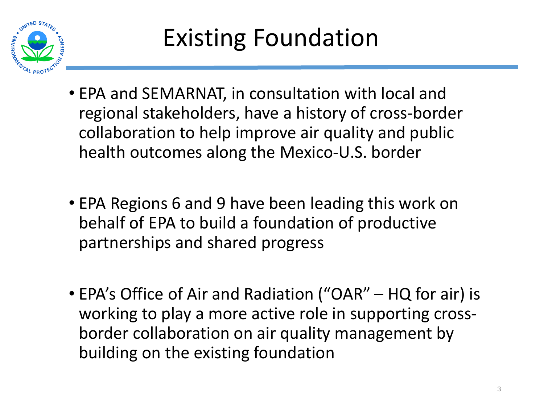

- EPA and SEMARNAT, in consultation with local and regional stakeholders, have a history of cross-border collaboration to help improve air quality and public health outcomes along the Mexico-U.S. border
- EPA Regions 6 and 9 have been leading this work on behalf of EPA to build a foundation of productive partnerships and shared progress
- EPA's Office of Air and Radiation ("OAR" HQ for air) is working to play a more active role in supporting crossborder collaboration on air quality management by building on the existing foundation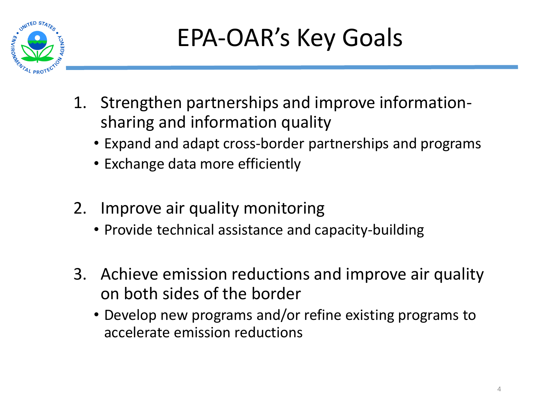

- 1. Strengthen partnerships and improve informationsharing and information quality
	- Expand and adapt cross-border partnerships and programs
	- Exchange data more efficiently
- 2. Improve air quality monitoring
	- Provide technical assistance and capacity-building
- 3. Achieve emission reductions and improve air quality on both sides of the border
	- Develop new programs and/or refine existing programs to accelerate emission reductions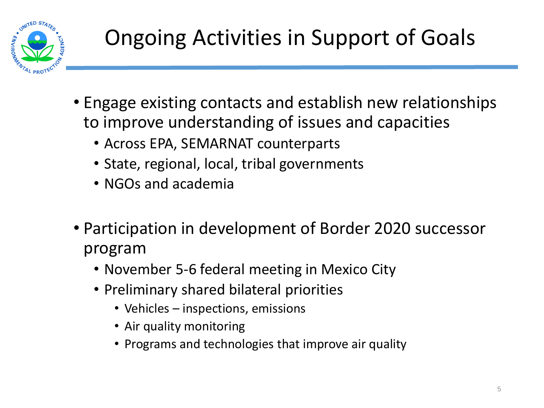

- Engage existing contacts and establish new relationships to improve understanding of issues and capacities
	- Across EPA, SEMARNAT counterparts
	- State, regional, local, tribal governments
	- NGOs and academia
- Participation in development of Border 2020 successor program
	- November 5-6 federal meeting in Mexico City
	- Preliminary shared bilateral priorities
		- Vehicles inspections, emissions
		- Air quality monitoring
		- Programs and technologies that improve air quality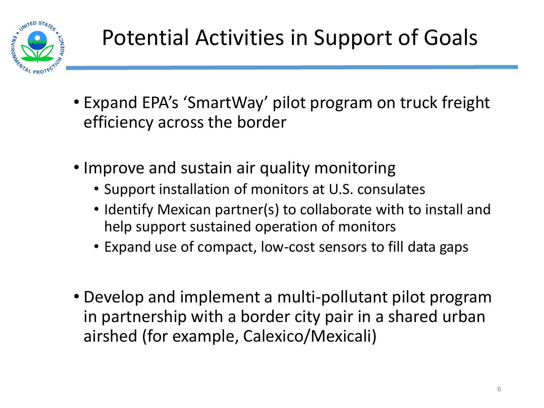

- Expand EPA's 'SmartWay' pilot program on truck freight efficiency across the border
- Improve and sustain air quality monitoring
	- Support installation of monitors at U.S. consulates
	- Identify Mexican partner(s) to collaborate with to install and help support sustained operation of monitors
	- Expand use of compact, low-cost sensors to fill data gaps
- Develop and implement a multi-pollutant pilot program in partnership with a border city pair in a shared urban airshed (for example, Calexico/Mexicali)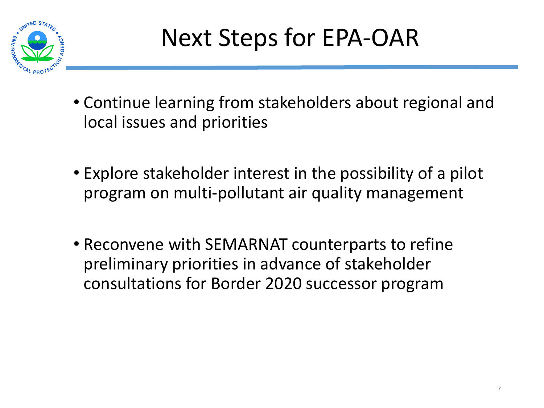

- Continue learning from stakeholders about regional and local issues and priorities
- Explore stakeholder interest in the possibility of a pilot program on multi-pollutant air quality management
- Reconvene with SEMARNAT counterparts to refine preliminary priorities in advance of stakeholder consultations for Border 2020 successor program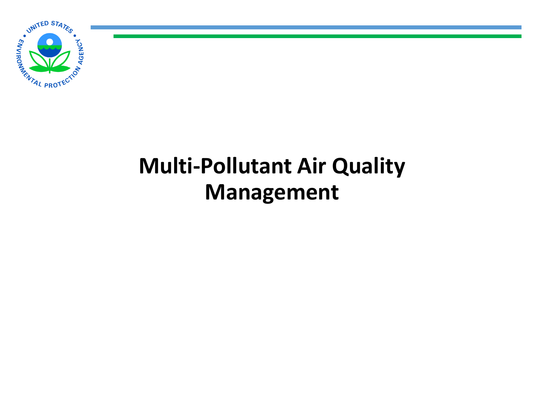

## **Multi-Pollutant Air Quality Management**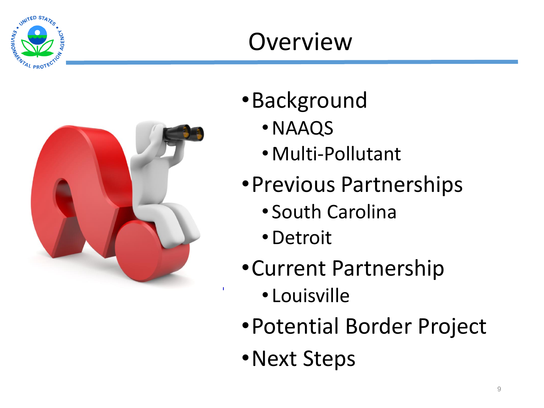

## **Overview**



- •Background
	- •NAAQS
	- •Multi-Pollutant
- •Previous Partnerships
	- South Carolina
	- •Detroit
- •Current Partnership
	- Louisville
- •Potential Border Project
- •Next Steps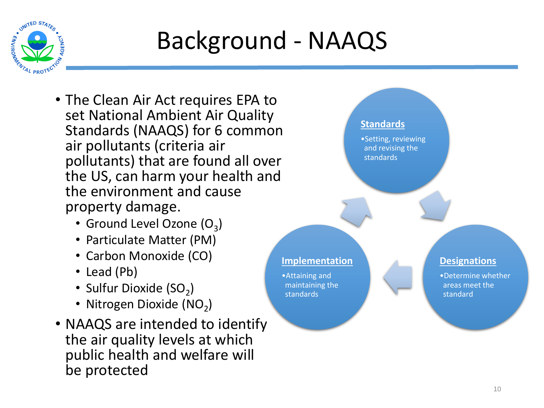

## Background - NAAQS

- The Clean Air Act requires EPA to set National Ambient Air Quality Standards (NAAQS) for 6 common air pollutants (criteria air pollutants) that are found all over the US, can harm your health and the environment and cause property damage.
	- Ground Level Ozone  $(O_3)$
	- Particulate Matter (PM)
	- Carbon Monoxide (CO)
	- Lead (Pb)
	- Sulfur Dioxide  $(SO_2)$
	- Nitrogen Dioxide (NO<sub>2</sub>)
- NAAQS are intended to identify the air quality levels at which public health and welfare will be protected

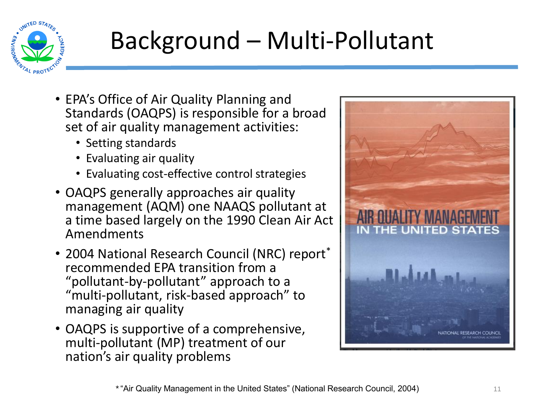

# Background – Multi-Pollutant

- EPA's Office of Air Quality Planning and Standards (OAQPS) is responsible for a broad set of air quality management activities:
	- Setting standards
	- Evaluating air quality
	- Evaluating cost-effective control strategies
- OAQPS generally approaches air quality management (AQM) one NAAQS pollutant at a time based largely on the 1990 Clean Air Act Amendments
- 2004 National Research Council (NRC) report<sup>\*</sup> recommended EPA transition from a "pollutant-by-pollutant" approach to a "multi-pollutant, risk-based approach" to managing air quality
- OAQPS is supportive of a comprehensive, multi-pollutant (MP) treatment of our nation's air quality problems

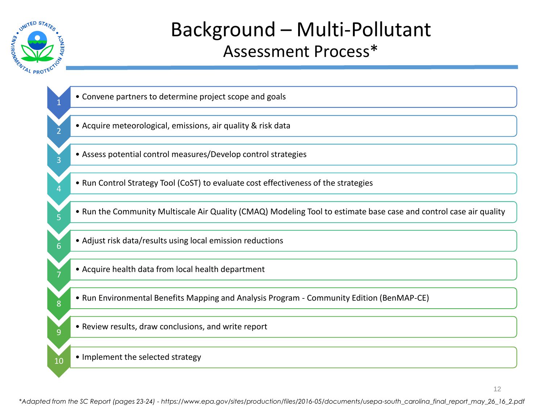

#### Background – Multi-Pollutant Assessment Process\*

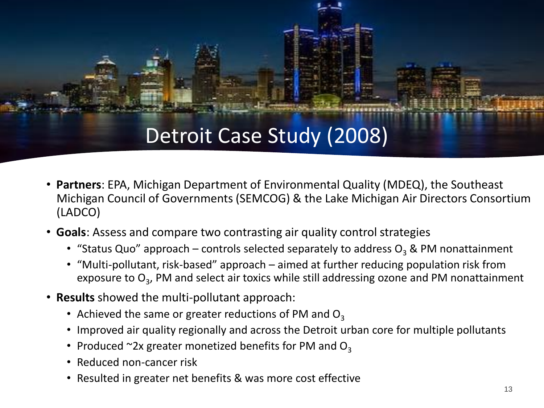#### Detroit Case Study (2008)

- **Partners**: EPA, Michigan Department of Environmental Quality (MDEQ), the Southeast Michigan Council of Governments (SEMCOG) & the Lake Michigan Air Directors Consortium (LADCO)
- **Goals**: Assess and compare two contrasting air quality control strategies
	- "Status Quo" approach controls selected separately to address  $O_3$  & PM nonattainment
	- "Multi-pollutant, risk-based" approach aimed at further reducing population risk from exposure to O<sub>3</sub>, PM and select air toxics while still addressing ozone and PM nonattainment
- **Results** showed the multi-pollutant approach:
	- Achieved the same or greater reductions of PM and  $O_3$
	- Improved air quality regionally and across the Detroit urban core for multiple pollutants
	- Produced  $\sim$ 2x greater monetized benefits for PM and O<sub>3</sub>
	- Reduced non-cancer risk
	- Resulted in greater net benefits & was more cost effective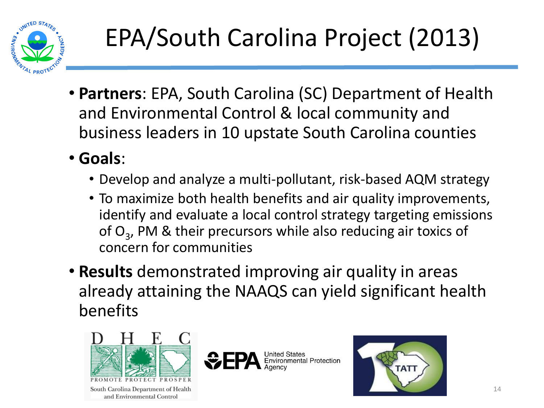

- **Partners**: EPA, South Carolina (SC) Department of Health and Environmental Control & local community and business leaders in 10 upstate South Carolina counties
- **Goals**:
	- Develop and analyze a multi-pollutant, risk-based AQM strategy
	- To maximize both health benefits and air quality improvements, identify and evaluate a local control strategy targeting emissions of  $O_3$ , PM & their precursors while also reducing air toxics of concern for communities
- **Results** demonstrated improving air quality in areas already attaining the NAAQS can yield significant health benefits



South Carolina Department of Health and Environmental Control



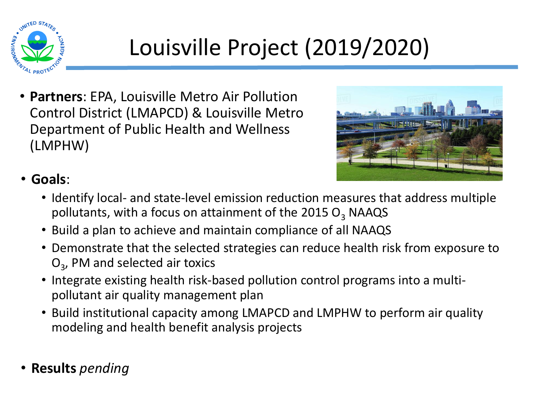

## Louisville Project (2019/2020)

• **Partners**: EPA, Louisville Metro Air Pollution Control District (LMAPCD) & Louisville Metro Department of Public Health and Wellness (LMPHW)



#### • **Goals**:

- Identify local- and state-level emission reduction measures that address multiple pollutants, with a focus on attainment of the 2015  $O_3$  NAAQS
- Build a plan to achieve and maintain compliance of all NAAQS
- Demonstrate that the selected strategies can reduce health risk from exposure to O<sub>3</sub>, PM and selected air toxics
- Integrate existing health risk-based pollution control programs into a multipollutant air quality management plan
- Build institutional capacity among LMAPCD and LMPHW to perform air quality modeling and health benefit analysis projects
- **Results** *pending*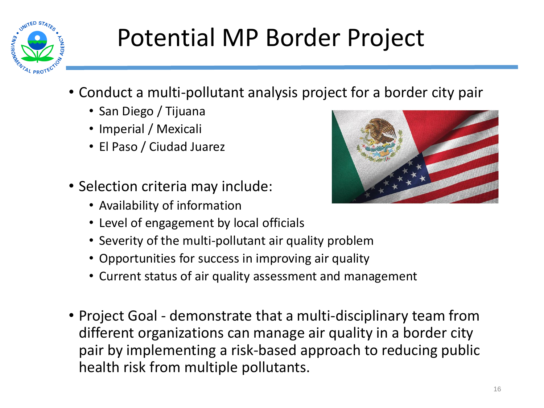

# Potential MP Border Project

- Conduct a multi-pollutant analysis project for a border city pair
	- San Diego / Tijuana
	- Imperial / Mexicali
	- El Paso / Ciudad Juarez
- Selection criteria may include:
	- Availability of information
	- Level of engagement by local officials
	- Severity of the multi-pollutant air quality problem
	- Opportunities for success in improving air quality
	- Current status of air quality assessment and management
- Project Goal demonstrate that a multi-disciplinary team from different organizations can manage air quality in a border city pair by implementing a risk-based approach to reducing public health risk from multiple pollutants.

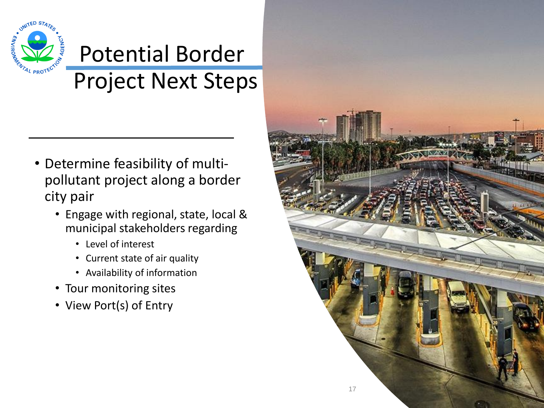

## Potential Border Project Next Steps

- Determine feasibility of multipollutant project along a border city pair
	- Engage with regional, state, local & municipal stakeholders regarding
		- Level of interest
		- Current state of air quality
		- Availability of information
	- Tour monitoring sites
	- View Port(s) of Entry